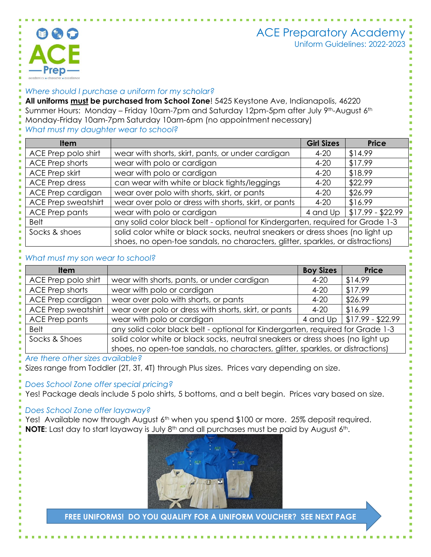# ACE Preparatory Academy



Uniform Guidelines: 2022-2023

### *Where should I purchase a uniform for my scholar?*

**All uniforms must be purchased from School Zone**! 5425 Keystone Ave, Indianapolis, 46220 Summer Hours: Monday – Friday 10am-7pm and Saturday 12pm-5pm after July 9th-August 6th Monday-Friday 10am-7pm Saturday 10am-6pm (no appointment necessary)

## *What must my daughter wear to school?*

| <b>Item</b>                |                                                                                | <b>Girl Sizes</b> | <b>Price</b>      |  |
|----------------------------|--------------------------------------------------------------------------------|-------------------|-------------------|--|
| ACE Prep polo shirt        | wear with shorts, skirt, pants, or under cardigan                              | $4 - 20$          | \$14.99           |  |
| <b>ACE Prep shorts</b>     | wear with polo or cardigan                                                     | $4 - 20$          | \$17.99           |  |
| <b>ACE Prep skirt</b>      | wear with polo or cardigan                                                     | $4 - 20$          | \$18.99           |  |
| <b>ACE Prep dress</b>      | can wear with white or black tights/leggings                                   | $4 - 20$          | \$22.99           |  |
| ACE Prep cardigan          | wear over polo with shorts, skirt, or pants                                    | $4 - 20$          | \$26.99           |  |
| <b>ACE Prep sweatshirt</b> | wear over polo or dress with shorts, skirt, or pants                           | $4 - 20$          | \$16.99           |  |
| <b>ACE Prep pants</b>      | wear with polo or cardigan                                                     | 4 and Up          | $$17.99 - $22.99$ |  |
| <b>Belt</b>                | any solid color black belt - optional for Kindergarten, required for Grade 1-3 |                   |                   |  |
| Socks & shoes              | solid color white or black socks, neutral sneakers or dress shoes (no light up |                   |                   |  |
|                            | shoes, no open-toe sandals, no characters, glitter, sparkles, or distractions) |                   |                   |  |

### *What must my son wear to school?*

| <b>Item</b>                |                                                                                | <b>Boy Sizes</b> | <b>Price</b>                 |  |
|----------------------------|--------------------------------------------------------------------------------|------------------|------------------------------|--|
| ACE Prep polo shirt        | wear with shorts, pants, or under cardigan                                     | $4 - 20$         | \$14.99                      |  |
| ACE Prep shorts            | wear with polo or cardigan                                                     | $4 - 20$         | \$17.99                      |  |
| ACE Prep cardigan          | wear over polo with shorts, or pants                                           | $4 - 20$         | \$26.99                      |  |
| <b>ACE Prep sweatshirt</b> | wear over polo or dress with shorts, skirt, or pants                           | $4 - 20$         | \$16.99                      |  |
| ACE Prep pants             | wear with polo or cardigan                                                     |                  | 4 and Up   \$17.99 - \$22.99 |  |
| <b>Belt</b>                | any solid color black belt - optional for Kindergarten, required for Grade 1-3 |                  |                              |  |
| Socks & Shoes              | solid color white or black socks, neutral sneakers or dress shoes (no light up |                  |                              |  |
|                            | shoes, no open-toe sandals, no characters, glitter, sparkles, or distractions) |                  |                              |  |

*Are there other sizes available?*

Sizes range from Toddler (2T, 3T, 4T) through Plus sizes. Prices vary depending on size.

#### *Does School Zone offer special pricing?*

Yes! Package deals include 5 polo shirts, 5 bottoms, and a belt begin. Prices vary based on size.

### *Does School Zone offer layaway?*

Yes! Available now through August 6<sup>th</sup> when you spend \$100 or more. 25% deposit required. **NOTE:** Last day to start layaway is July 8<sup>th</sup> and all purchases must be paid by August 6<sup>th</sup>.



**FREE UNIFORMS! DO YOU QUALIFY FOR A UNIFORM VOUCHER? SEE NEXT PAGE**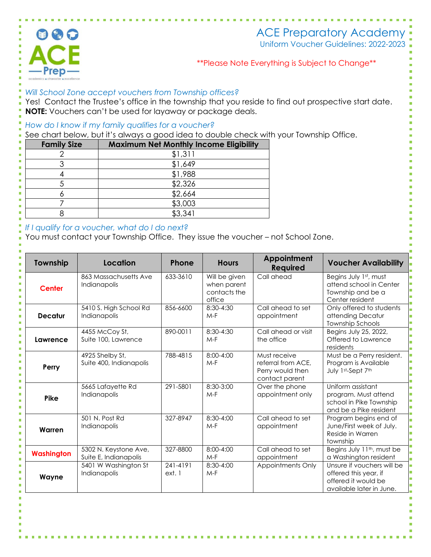

# ACE Preparatory Academy

Uniform Voucher Guidelines: 2022-2023

# \*\*Please Note Everything is Subject to Change\*\*

## *Will School Zone accept vouchers from Township offices?*

Yes! Contact the Trustee's office in the township that you reside to find out prospective start date. **NOTE:** Vouchers can't be used for layaway or package deals.

### *How do I know if my family qualifies for a voucher?*

See chart below, but it's always a good idea to double check with your Township Office.

| <b>Family Size</b> | <b>Maximum Net Monthly Income Eligibility</b> |  |
|--------------------|-----------------------------------------------|--|
|                    | \$1,311                                       |  |
|                    | \$1,649                                       |  |
|                    | \$1,988                                       |  |
|                    | \$2,326                                       |  |
|                    | \$2,664                                       |  |
|                    | \$3,003                                       |  |
|                    | \$3,341                                       |  |

### *If I qualify for a voucher, what do I do next?*

You must contact your Township Office. They issue the voucher – not School Zone.

| Township          | Location                                       | Phone              | <b>Hours</b>                                           | Appointment<br><b>Required</b>                                           | <b>Voucher Availability</b>                                                                            |
|-------------------|------------------------------------------------|--------------------|--------------------------------------------------------|--------------------------------------------------------------------------|--------------------------------------------------------------------------------------------------------|
| <b>Center</b>     | 863 Massachusetts Ave<br>Indianapolis          | 633-3610           | Will be given<br>when parent<br>contacts the<br>office | Call ahead                                                               | Begins July 1st, must<br>attend school in Center<br>Township and be a<br>Center resident               |
| <b>Decatur</b>    | 5410 S. High School Rd<br>Indianapolis         | 856-6600           | 8:30-4:30<br>$M-F$                                     | Call ahead to set<br>appointment                                         | Only offered to students<br>attending Decatur<br><b>Township Schools</b>                               |
| Lawrence          | 4455 McCoy St,<br>Suite 100, Lawrence          | 890-0011           | 8:30-4:30<br>$M-F$                                     | Call ahead or visit<br>the office                                        | Begins July 25, 2022,<br>Offered to Lawrence<br>residents                                              |
| Perry             | 4925 Shelby St,<br>Suite 400, Indianapolis     | 788-4815           | $8:00 - 4:00$<br>$M-F$                                 | Must receive<br>referral from ACE.<br>Perry would then<br>contact parent | Must be a Perry resident.<br>Program is Available<br>July 1st-Sept 7th                                 |
| Pike              | 5665 Lafayette Rd<br>Indianapolis              | 291-5801           | 8:30-3:00<br>$M-F$                                     | Over the phone<br>appointment only                                       | Uniform assistant<br>program. Must attend<br>school in Pike Township<br>and be a Pike resident         |
| Warren            | 501 N. Post Rd<br>Indianapolis                 | 327-8947           | 8:30-4:00<br>$M-F$                                     | Call ahead to set<br>appointment                                         | Program begins end of<br>June/First week of July.<br>Reside in Warren<br>township                      |
| <b>Washington</b> | 5302 N. Keystone Ave,<br>Suite E, Indianapolis | 327-8800           | 8:00-4:00<br>$M-F$                                     | Call ahead to set<br>appointment                                         | Begins July 11 <sup>th</sup> , must be<br>a Washington resident                                        |
| Wayne             | 5401 W Washington St<br>Indianapolis           | 241-4191<br>ext. 1 | $8:30-4:00$<br>$M-F$                                   | Appointments Only                                                        | Unsure if vouchers will be<br>offered this year, if<br>offered it would be<br>available later in June. |